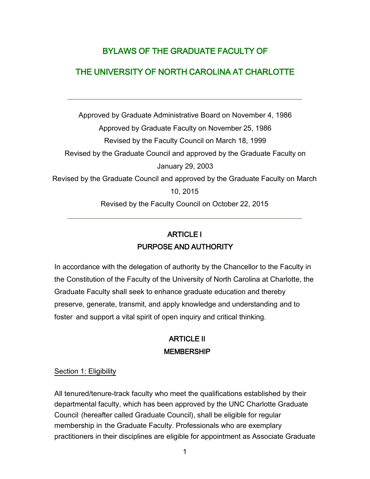# BYLAWS OF THE GRADUATE FACULTY OF

## THE UNIVERSITY OF NORTH CAROLINA AT CHARLOTTE

Approved by Graduate Administrative Board on November 4, 1986 Approved by Graduate Faculty on November 25, 1986 Revised by the Faculty Council on March 18, 1999 Revised by the Graduate Council and approved by the Graduate Faculty on January 29, 2003 Revised by the Graduate Council and approved by the Graduate Faculty on March 10, 2015 Revised by the Faculty Council on October 22, 2015

# ARTICLE I PURPOSE AND AUTHORITY

In accordance with the delegation of authority by the Chancellor to the Faculty in the Constitution of the Faculty of the University of North Carolina at Charlotte, the Graduate Faculty shall seek to enhance graduate education and thereby preserve, generate, transmit, and apply knowledge and understanding and to foster and support a vital spirit of open inquiry and critical thinking.

# ARTICLE II MEMBERSHIP

#### Section 1: Eligibility

All tenured/tenure-track faculty who meet the qualifications established by their departmental faculty, which has been approved by the UNC Charlotte Graduate Council (hereafter called Graduate Council), shall be eligible for regular membership in the Graduate Faculty. Professionals who are exemplary practitioners in their disciplines are eligible for appointment as Associate Graduate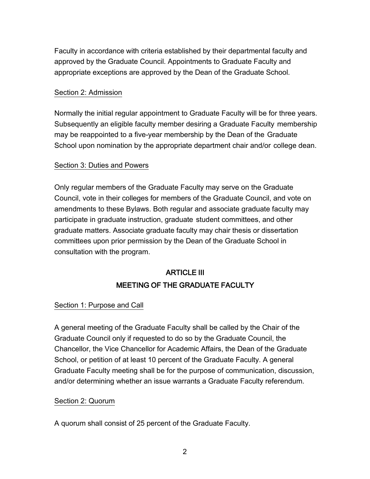Faculty in accordance with criteria established by their departmental faculty and approved by the Graduate Council. Appointments to Graduate Faculty and appropriate exceptions are approved by the Dean of the Graduate School.

## Section 2: Admission

Normally the initial regular appointment to Graduate Faculty will be for three years. Subsequently an eligible faculty member desiring a Graduate Faculty membership may be reappointed to a five-year membership by the Dean of the Graduate School upon nomination by the appropriate department chair and/or college dean.

## Section 3: Duties and Powers

Only regular members of the Graduate Faculty may serve on the Graduate Council, vote in their colleges for members of the Graduate Council, and vote on amendments to these Bylaws. Both regular and associate graduate faculty may participate in graduate instruction, graduate student committees, and other graduate matters. Associate graduate faculty may chair thesis or dissertation committees upon prior permission by the Dean of the Graduate School in consultation with the program.

# ARTICLE III MEETING OF THE GRADUATE FACULTY

#### Section 1: Purpose and Call

A general meeting of the Graduate Faculty shall be called by the Chair of the Graduate Council only if requested to do so by the Graduate Council, the Chancellor, the Vice Chancellor for Academic Affairs, the Dean of the Graduate School, or petition of at least 10 percent of the Graduate Faculty. A general Graduate Faculty meeting shall be for the purpose of communication, discussion, and/or determining whether an issue warrants a Graduate Faculty referendum.

#### Section 2: Quorum

A quorum shall consist of 25 percent of the Graduate Faculty.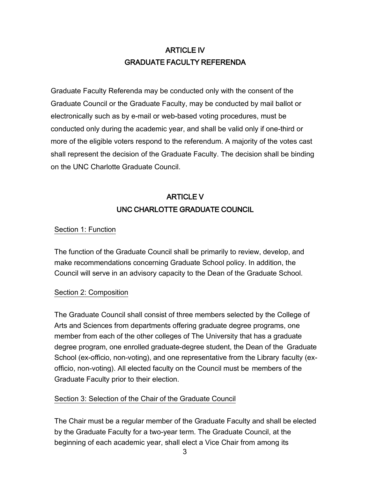# ARTICLE IV GRADUATE FACULTY REFERENDA

Graduate Faculty Referenda may be conducted only with the consent of the Graduate Council or the Graduate Faculty, may be conducted by mail ballot or electronically such as by e-mail or web-based voting procedures, must be conducted only during the academic year, and shall be valid only if one-third or more of the eligible voters respond to the referendum. A majority of the votes cast shall represent the decision of the Graduate Faculty. The decision shall be binding on the UNC Charlotte Graduate Council.

# ARTICLE V UNC CHARLOTTE GRADUATE COUNCIL

## Section 1: Function

The function of the Graduate Council shall be primarily to review, develop, and make recommendations concerning Graduate School policy. In addition, the Council will serve in an advisory capacity to the Dean of the Graduate School.

#### Section 2: Composition

The Graduate Council shall consist of three members selected by the College of Arts and Sciences from departments offering graduate degree programs, one member from each of the other colleges of The University that has a graduate degree program, one enrolled graduate-degree student, the Dean of the Graduate School (ex-officio, non-voting), and one representative from the Library faculty (exofficio, non-voting). All elected faculty on the Council must be members of the Graduate Faculty prior to their election.

## Section 3: Selection of the Chair of the Graduate Council

The Chair must be a regular member of the Graduate Faculty and shall be elected by the Graduate Faculty for a two-year term. The Graduate Council, at the beginning of each academic year, shall elect a Vice Chair from among its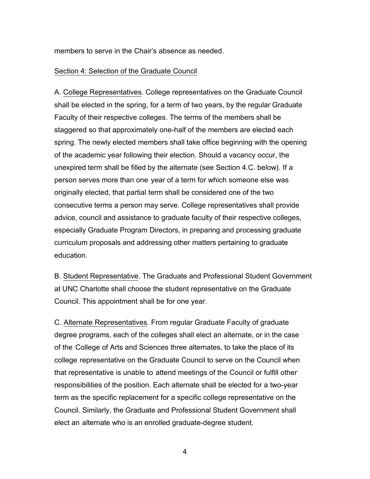members to serve in the Chair's absence as needed.

#### Section 4: Selection of the Graduate Council

A. College Representatives. College representatives on the Graduate Council shall be elected in the spring, for a term of two years, by the regular Graduate Faculty of their respective colleges. The terms of the members shall be staggered so that approximately one-half of the members are elected each spring. The newly elected members shall take office beginning with the opening of the academic year following their election. Should a vacancy occur, the unexpired term shall be filled by the alternate (see Section 4.C. below). If a person serves more than one year of a term for which someone else was originally elected, that partial term shall be considered one of the two consecutive terms a person may serve. College representatives shall provide advice, council and assistance to graduate faculty of their respective colleges, especially Graduate Program Directors, in preparing and processing graduate curriculum proposals and addressing other matters pertaining to graduate education.

B. Student Representative. The Graduate and Professional Student Government at UNC Charlotte shall choose the student representative on the Graduate Council. This appointment shall be for one year.

C. Alternate Representatives. From regular Graduate Faculty of graduate degree programs, each of the colleges shall elect an alternate, or in the case of the College of Arts and Sciences three alternates, to take the place of its college representative on the Graduate Council to serve on the Council when that representative is unable to attend meetings of the Council or fulfill other responsibilities of the position. Each alternate shall be elected for a two-year term as the specific replacement for a specific college representative on the Council. Similarly, the Graduate and Professional Student Government shall elect an alternate who is an enrolled graduate-degree student.

4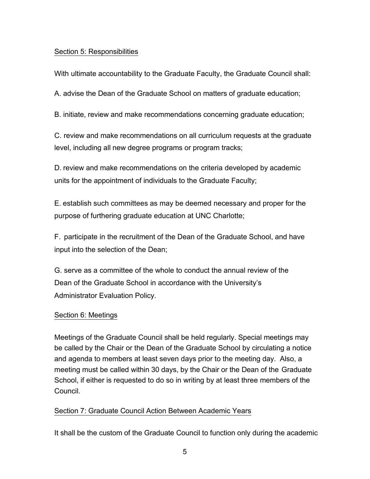## Section 5: Responsibilities

With ultimate accountability to the Graduate Faculty, the Graduate Council shall:

A. advise the Dean of the Graduate School on matters of graduate education;

B. initiate, review and make recommendations concerning graduate education;

C. review and make recommendations on all curriculum requests at the graduate level, including all new degree programs or program tracks;

D. review and make recommendations on the criteria developed by academic units for the appointment of individuals to the Graduate Faculty;

E. establish such committees as may be deemed necessary and proper for the purpose of furthering graduate education at UNC Charlotte;

F. participate in the recruitment of the Dean of the Graduate School, and have input into the selection of the Dean;

G. serve as a committee of the whole to conduct the annual review of the Dean of the Graduate School in accordance with the University's Administrator Evaluation Policy.

## Section 6: Meetings

Meetings of the Graduate Council shall be held regularly. Special meetings may be called by the Chair or the Dean of the Graduate School by circulating a notice and agenda to members at least seven days prior to the meeting day. Also, a meeting must be called within 30 days, by the Chair or the Dean of the Graduate School, if either is requested to do so in writing by at least three members of the Council.

## Section 7: Graduate Council Action Between Academic Years

It shall be the custom of the Graduate Council to function only during the academic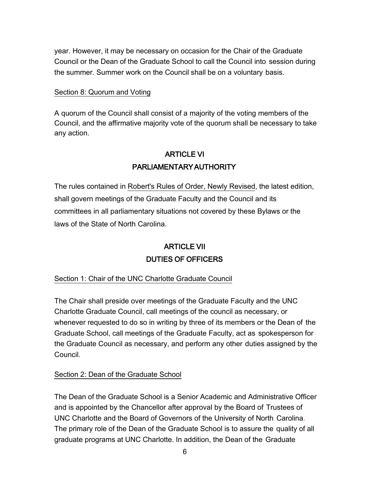year. However, it may be necessary on occasion for the Chair of the Graduate Council or the Dean of the Graduate School to call the Council into session during the summer. Summer work on the Council shall be on a voluntary basis.

## Section 8: Quorum and Voting

A quorum of the Council shall consist of a majority of the voting members of the Council, and the affirmative majority vote of the quorum shall be necessary to take any action.

# ARTICLE VI PARLIAMENTARY AUTHORITY

The rules contained in Robert's Rules of Order, Newly Revised, the latest edition, shall govern meetings of the Graduate Faculty and the Council and its committees in all parliamentary situations not covered by these Bylaws or the laws of the State of North Carolina.

# ARTICLE VII DUTIES OF OFFICERS

Section 1: Chair of the UNC Charlotte Graduate Council

The Chair shall preside over meetings of the Graduate Faculty and the UNC Charlotte Graduate Council, call meetings of the council as necessary, or whenever requested to do so in writing by three of its members or the Dean of the Graduate School, call meetings of the Graduate Faculty, act as spokesperson for the Graduate Council as necessary, and perform any other duties assigned by the Council.

## Section 2: Dean of the Graduate School

The Dean of the Graduate School is a Senior Academic and Administrative Officer and is appointed by the Chancellor after approval by the Board of Trustees of UNC Charlotte and the Board of Governors of the University of North Carolina. The primary role of the Dean of the Graduate School is to assure the quality of all graduate programs at UNC Charlotte. In addition, the Dean of the Graduate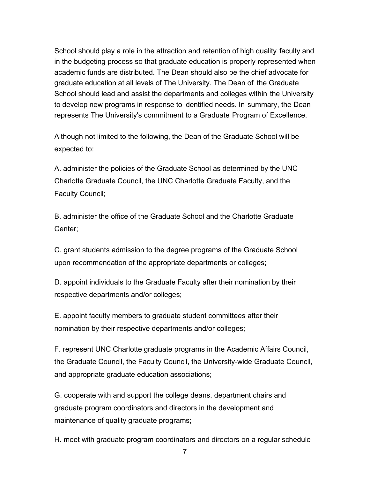School should play a role in the attraction and retention of high quality faculty and in the budgeting process so that graduate education is properly represented when academic funds are distributed. The Dean should also be the chief advocate for graduate education at all levels of The University. The Dean of the Graduate School should lead and assist the departments and colleges within the University to develop new programs in response to identified needs. In summary, the Dean represents The University's commitment to a Graduate Program of Excellence.

Although not limited to the following, the Dean of the Graduate School will be expected to:

A. administer the policies of the Graduate School as determined by the UNC Charlotte Graduate Council, the UNC Charlotte Graduate Faculty, and the Faculty Council;

B. administer the office of the Graduate School and the Charlotte Graduate Center;

C. grant students admission to the degree programs of the Graduate School upon recommendation of the appropriate departments or colleges;

D. appoint individuals to the Graduate Faculty after their nomination by their respective departments and/or colleges;

E. appoint faculty members to graduate student committees after their nomination by their respective departments and/or colleges;

F. represent UNC Charlotte graduate programs in the Academic Affairs Council, the Graduate Council, the Faculty Council, the University-wide Graduate Council, and appropriate graduate education associations;

G. cooperate with and support the college deans, department chairs and graduate program coordinators and directors in the development and maintenance of quality graduate programs;

H. meet with graduate program coordinators and directors on a regular schedule